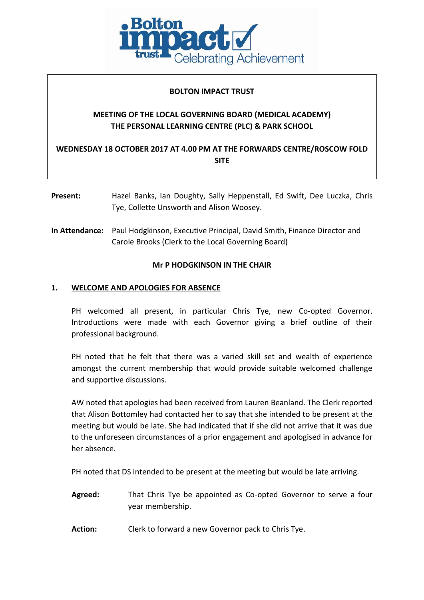

### **BOLTON IMPACT TRUST**

# **MEETING OF THE LOCAL GOVERNING BOARD (MEDICAL ACADEMY) THE PERSONAL LEARNING CENTRE (PLC) & PARK SCHOOL**

**WEDNESDAY 18 OCTOBER 2017 AT 4.00 PM AT THE FORWARDS CENTRE/ROSCOW FOLD SITE**

- **Present:** Hazel Banks, Ian Doughty, Sally Heppenstall, Ed Swift, Dee Luczka, Chris Tye, Collette Unsworth and Alison Woosey.
- **In Attendance:** Paul Hodgkinson, Executive Principal, David Smith, Finance Director and Carole Brooks (Clerk to the Local Governing Board)

### **Mr P HODGKINSON IN THE CHAIR**

### **1. WELCOME AND APOLOGIES FOR ABSENCE**

PH welcomed all present, in particular Chris Tye, new Co-opted Governor. Introductions were made with each Governor giving a brief outline of their professional background.

PH noted that he felt that there was a varied skill set and wealth of experience amongst the current membership that would provide suitable welcomed challenge and supportive discussions.

AW noted that apologies had been received from Lauren Beanland. The Clerk reported that Alison Bottomley had contacted her to say that she intended to be present at the meeting but would be late. She had indicated that if she did not arrive that it was due to the unforeseen circumstances of a prior engagement and apologised in advance for her absence.

PH noted that DS intended to be present at the meeting but would be late arriving.

- **Agreed:** That Chris Tye be appointed as Co-opted Governor to serve a four year membership.
- **Action:** Clerk to forward a new Governor pack to Chris Tye.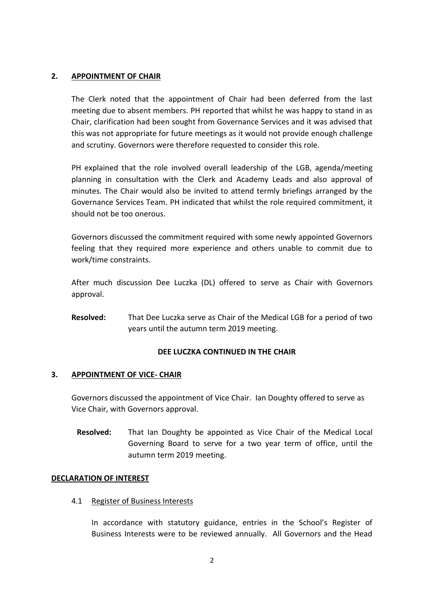### **2. APPOINTMENT OF CHAIR**

The Clerk noted that the appointment of Chair had been deferred from the last meeting due to absent members. PH reported that whilst he was happy to stand in as Chair, clarification had been sought from Governance Services and it was advised that this was not appropriate for future meetings as it would not provide enough challenge and scrutiny. Governors were therefore requested to consider this role.

PH explained that the role involved overall leadership of the LGB, agenda/meeting planning in consultation with the Clerk and Academy Leads and also approval of minutes. The Chair would also be invited to attend termly briefings arranged by the Governance Services Team. PH indicated that whilst the role required commitment, it should not be too onerous.

Governors discussed the commitment required with some newly appointed Governors feeling that they required more experience and others unable to commit due to work/time constraints.

After much discussion Dee Luczka (DL) offered to serve as Chair with Governors approval.

**Resolved:** That Dee Luczka serve as Chair of the Medical LGB for a period of two years until the autumn term 2019 meeting.

### **DEE LUCZKA CONTINUED IN THE CHAIR**

### **3. APPOINTMENT OF VICE- CHAIR**

Governors discussed the appointment of Vice Chair. Ian Doughty offered to serve as Vice Chair, with Governors approval.

**Resolved:** That Ian Doughty be appointed as Vice Chair of the Medical Local Governing Board to serve for a two year term of office, until the autumn term 2019 meeting.

### **DECLARATION OF INTEREST**

4.1 Register of Business Interests

In accordance with statutory guidance, entries in the School's Register of Business Interests were to be reviewed annually. All Governors and the Head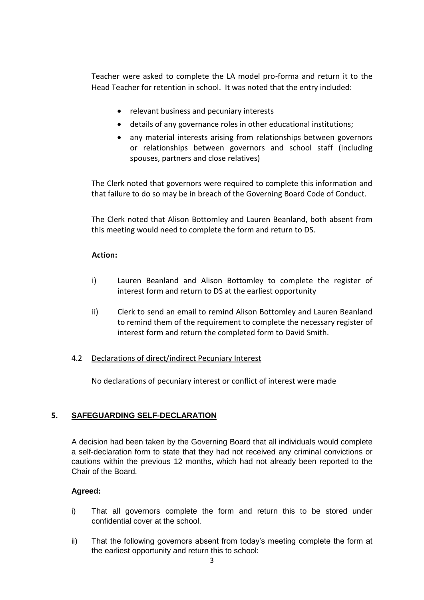Teacher were asked to complete the LA model pro-forma and return it to the Head Teacher for retention in school. It was noted that the entry included:

- relevant business and pecuniary interests
- details of any governance roles in other educational institutions;
- any material interests arising from relationships between governors or relationships between governors and school staff (including spouses, partners and close relatives)

The Clerk noted that governors were required to complete this information and that failure to do so may be in breach of the Governing Board Code of Conduct.

The Clerk noted that Alison Bottomley and Lauren Beanland, both absent from this meeting would need to complete the form and return to DS.

#### **Action:**

- i) Lauren Beanland and Alison Bottomley to complete the register of interest form and return to DS at the earliest opportunity
- ii) Clerk to send an email to remind Alison Bottomley and Lauren Beanland to remind them of the requirement to complete the necessary register of interest form and return the completed form to David Smith.

#### 4.2 Declarations of direct/indirect Pecuniary Interest

No declarations of pecuniary interest or conflict of interest were made

### **5. SAFEGUARDING SELF-DECLARATION**

A decision had been taken by the Governing Board that all individuals would complete a self-declaration form to state that they had not received any criminal convictions or cautions within the previous 12 months, which had not already been reported to the Chair of the Board.

### **Agreed:**

- i) That all governors complete the form and return this to be stored under confidential cover at the school.
- ii) That the following governors absent from today's meeting complete the form at the earliest opportunity and return this to school: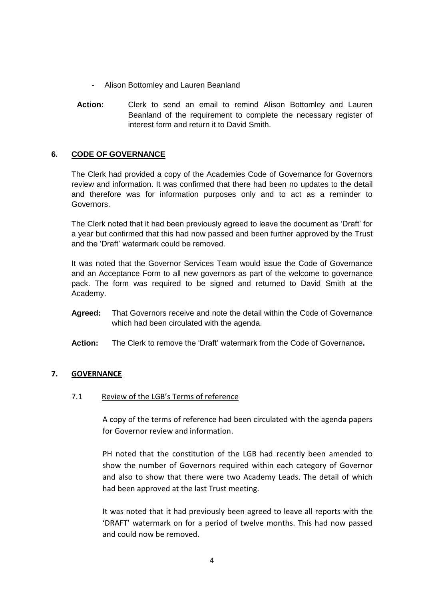- Alison Bottomley and Lauren Beanland
- **Action:** Clerk to send an email to remind Alison Bottomley and Lauren Beanland of the requirement to complete the necessary register of interest form and return it to David Smith.

### **6. CODE OF GOVERNANCE**

The Clerk had provided a copy of the Academies Code of Governance for Governors review and information. It was confirmed that there had been no updates to the detail and therefore was for information purposes only and to act as a reminder to Governors.

The Clerk noted that it had been previously agreed to leave the document as 'Draft' for a year but confirmed that this had now passed and been further approved by the Trust and the 'Draft' watermark could be removed.

It was noted that the Governor Services Team would issue the Code of Governance and an Acceptance Form to all new governors as part of the welcome to governance pack. The form was required to be signed and returned to David Smith at the Academy.

- **Agreed:** That Governors receive and note the detail within the Code of Governance which had been circulated with the agenda.
- **Action:** The Clerk to remove the 'Draft' watermark from the Code of Governance**.**

### **7. GOVERNANCE**

### 7.1 Review of the LGB's Terms of reference

A copy of the terms of reference had been circulated with the agenda papers for Governor review and information.

PH noted that the constitution of the LGB had recently been amended to show the number of Governors required within each category of Governor and also to show that there were two Academy Leads. The detail of which had been approved at the last Trust meeting.

It was noted that it had previously been agreed to leave all reports with the 'DRAFT' watermark on for a period of twelve months. This had now passed and could now be removed.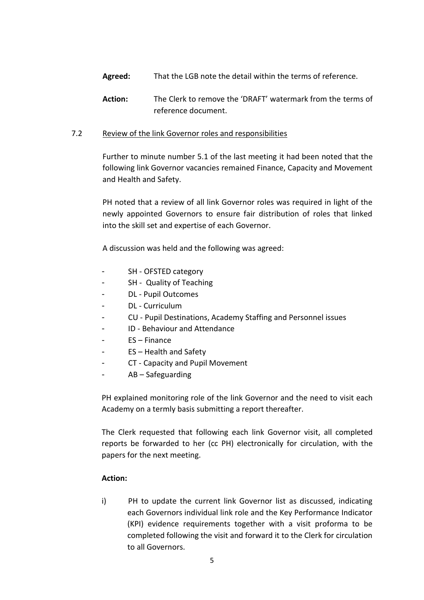- **Agreed:** That the LGB note the detail within the terms of reference.
- **Action:** The Clerk to remove the 'DRAFT' watermark from the terms of reference document.

## 7.2 Review of the link Governor roles and responsibilities

Further to minute number 5.1 of the last meeting it had been noted that the following link Governor vacancies remained Finance, Capacity and Movement and Health and Safety.

PH noted that a review of all link Governor roles was required in light of the newly appointed Governors to ensure fair distribution of roles that linked into the skill set and expertise of each Governor.

A discussion was held and the following was agreed:

- SH OFSTED category
- SH Quality of Teaching
- DL Pupil Outcomes
- DL Curriculum
- CU Pupil Destinations, Academy Staffing and Personnel issues
- ID Behaviour and Attendance
- $FS Finance$
- $ES Health$  and Safety
- CT Capacity and Pupil Movement
- AB Safeguarding

PH explained monitoring role of the link Governor and the need to visit each Academy on a termly basis submitting a report thereafter.

The Clerk requested that following each link Governor visit, all completed reports be forwarded to her (cc PH) electronically for circulation, with the papers for the next meeting.

### **Action:**

i) PH to update the current link Governor list as discussed, indicating each Governors individual link role and the Key Performance Indicator (KPI) evidence requirements together with a visit proforma to be completed following the visit and forward it to the Clerk for circulation to all Governors.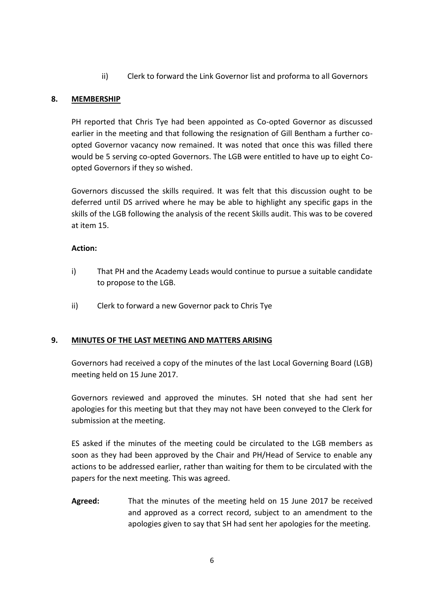ii) Clerk to forward the Link Governor list and proforma to all Governors

## **8. MEMBERSHIP**

PH reported that Chris Tye had been appointed as Co-opted Governor as discussed earlier in the meeting and that following the resignation of Gill Bentham a further coopted Governor vacancy now remained. It was noted that once this was filled there would be 5 serving co-opted Governors. The LGB were entitled to have up to eight Coopted Governors if they so wished.

Governors discussed the skills required. It was felt that this discussion ought to be deferred until DS arrived where he may be able to highlight any specific gaps in the skills of the LGB following the analysis of the recent Skills audit. This was to be covered at item 15.

### **Action:**

- i) That PH and the Academy Leads would continue to pursue a suitable candidate to propose to the LGB.
- ii) Clerk to forward a new Governor pack to Chris Tye

## **9. MINUTES OF THE LAST MEETING AND MATTERS ARISING**

Governors had received a copy of the minutes of the last Local Governing Board (LGB) meeting held on 15 June 2017.

Governors reviewed and approved the minutes. SH noted that she had sent her apologies for this meeting but that they may not have been conveyed to the Clerk for submission at the meeting.

ES asked if the minutes of the meeting could be circulated to the LGB members as soon as they had been approved by the Chair and PH/Head of Service to enable any actions to be addressed earlier, rather than waiting for them to be circulated with the papers for the next meeting. This was agreed.

**Agreed:** That the minutes of the meeting held on 15 June 2017 be received and approved as a correct record, subject to an amendment to the apologies given to say that SH had sent her apologies for the meeting.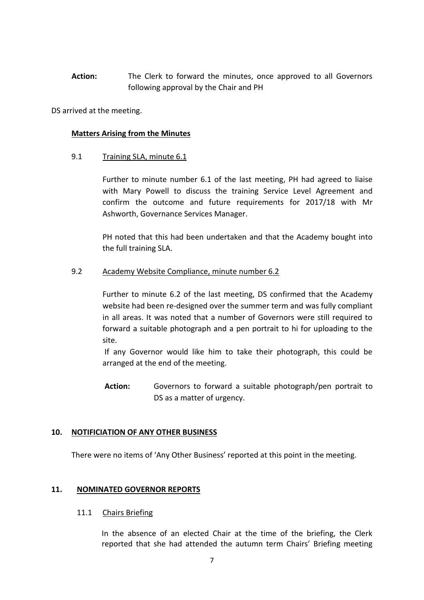**Action:** The Clerk to forward the minutes, once approved to all Governors following approval by the Chair and PH

DS arrived at the meeting.

#### **Matters Arising from the Minutes**

### 9.1 Training SLA, minute 6.1

Further to minute number 6.1 of the last meeting, PH had agreed to liaise with Mary Powell to discuss the training Service Level Agreement and confirm the outcome and future requirements for 2017/18 with Mr Ashworth, Governance Services Manager.

PH noted that this had been undertaken and that the Academy bought into the full training SLA.

#### 9.2 Academy Website Compliance, minute number 6.2

Further to minute 6.2 of the last meeting, DS confirmed that the Academy website had been re-designed over the summer term and was fully compliant in all areas. It was noted that a number of Governors were still required to forward a suitable photograph and a pen portrait to hi for uploading to the site.

If any Governor would like him to take their photograph, this could be arranged at the end of the meeting.

**Action:** Governors to forward a suitable photograph/pen portrait to DS as a matter of urgency.

### **10. NOTIFICIATION OF ANY OTHER BUSINESS**

There were no items of 'Any Other Business' reported at this point in the meeting.

### **11. NOMINATED GOVERNOR REPORTS**

#### 11.1 Chairs Briefing

In the absence of an elected Chair at the time of the briefing, the Clerk reported that she had attended the autumn term Chairs' Briefing meeting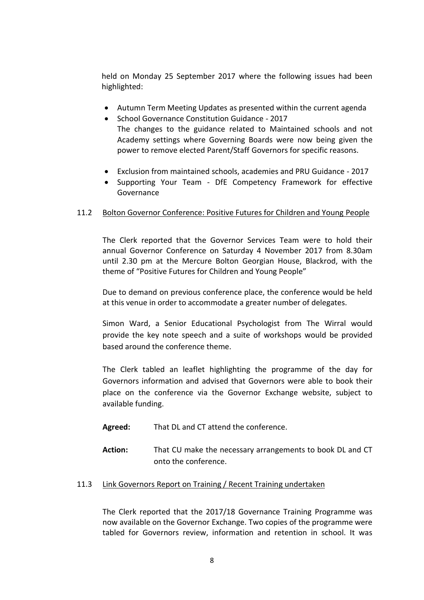held on Monday 25 September 2017 where the following issues had been highlighted:

- Autumn Term Meeting Updates as presented within the current agenda
- School Governance Constitution Guidance 2017 The changes to the guidance related to Maintained schools and not Academy settings where Governing Boards were now being given the power to remove elected Parent/Staff Governors for specific reasons.
- Exclusion from maintained schools, academies and PRU Guidance 2017
- Supporting Your Team DfE Competency Framework for effective Governance

## 11.2 Bolton Governor Conference: Positive Futures for Children and Young People

The Clerk reported that the Governor Services Team were to hold their annual Governor Conference on Saturday 4 November 2017 from 8.30am until 2.30 pm at the Mercure Bolton Georgian House, Blackrod, with the theme of "Positive Futures for Children and Young People"

Due to demand on previous conference place, the conference would be held at this venue in order to accommodate a greater number of delegates.

Simon Ward, a Senior Educational Psychologist from The Wirral would provide the key note speech and a suite of workshops would be provided based around the conference theme.

The Clerk tabled an leaflet highlighting the programme of the day for Governors information and advised that Governors were able to book their place on the conference via the Governor Exchange website, subject to available funding.

- **Agreed:** That DL and CT attend the conference.
- **Action:** That CU make the necessary arrangements to book DL and CT onto the conference.

### 11.3 Link Governors Report on Training / Recent Training undertaken

The Clerk reported that the 2017/18 Governance Training Programme was now available on the Governor Exchange. Two copies of the programme were tabled for Governors review, information and retention in school. It was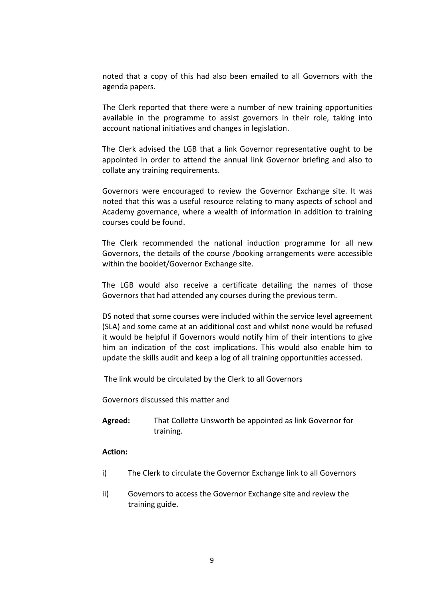noted that a copy of this had also been emailed to all Governors with the agenda papers.

The Clerk reported that there were a number of new training opportunities available in the programme to assist governors in their role, taking into account national initiatives and changes in legislation.

The Clerk advised the LGB that a link Governor representative ought to be appointed in order to attend the annual link Governor briefing and also to collate any training requirements.

Governors were encouraged to review the Governor Exchange site. It was noted that this was a useful resource relating to many aspects of school and Academy governance, where a wealth of information in addition to training courses could be found.

The Clerk recommended the national induction programme for all new Governors, the details of the course /booking arrangements were accessible within the booklet/Governor Exchange site.

The LGB would also receive a certificate detailing the names of those Governors that had attended any courses during the previous term.

DS noted that some courses were included within the service level agreement (SLA) and some came at an additional cost and whilst none would be refused it would be helpful if Governors would notify him of their intentions to give him an indication of the cost implications. This would also enable him to update the skills audit and keep a log of all training opportunities accessed.

The link would be circulated by the Clerk to all Governors

Governors discussed this matter and

**Agreed:** That Collette Unsworth be appointed as link Governor for training.

#### **Action:**

- i) The Clerk to circulate the Governor Exchange link to all Governors
- ii) Governors to access the Governor Exchange site and review the training guide.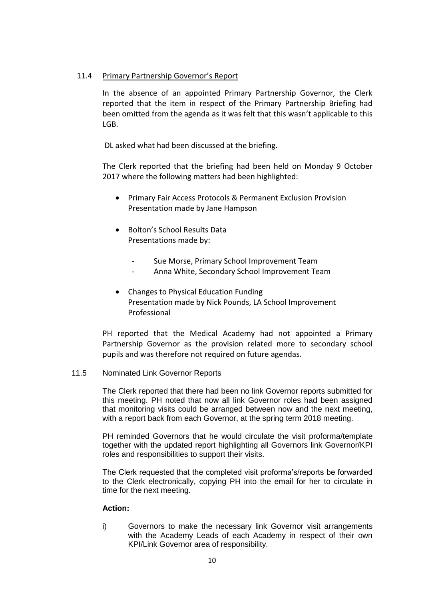### 11.4 Primary Partnership Governor's Report

In the absence of an appointed Primary Partnership Governor, the Clerk reported that the item in respect of the Primary Partnership Briefing had been omitted from the agenda as it was felt that this wasn't applicable to this LGB.

DL asked what had been discussed at the briefing.

The Clerk reported that the briefing had been held on Monday 9 October 2017 where the following matters had been highlighted:

- **•** Primary Fair Access Protocols & Permanent Exclusion Provision Presentation made by Jane Hampson
- Bolton's School Results Data Presentations made by:
	- Sue Morse, Primary School Improvement Team
	- Anna White, Secondary School Improvement Team
- Changes to Physical Education Funding Presentation made by Nick Pounds, LA School Improvement Professional

PH reported that the Medical Academy had not appointed a Primary Partnership Governor as the provision related more to secondary school pupils and was therefore not required on future agendas.

### 11.5 Nominated Link Governor Reports

The Clerk reported that there had been no link Governor reports submitted for this meeting. PH noted that now all link Governor roles had been assigned that monitoring visits could be arranged between now and the next meeting, with a report back from each Governor, at the spring term 2018 meeting.

PH reminded Governors that he would circulate the visit proforma/template together with the updated report highlighting all Governors link Governor/KPI roles and responsibilities to support their visits.

The Clerk requested that the completed visit proforma's/reports be forwarded to the Clerk electronically, copying PH into the email for her to circulate in time for the next meeting.

### **Action:**

i) Governors to make the necessary link Governor visit arrangements with the Academy Leads of each Academy in respect of their own KPI/Link Governor area of responsibility.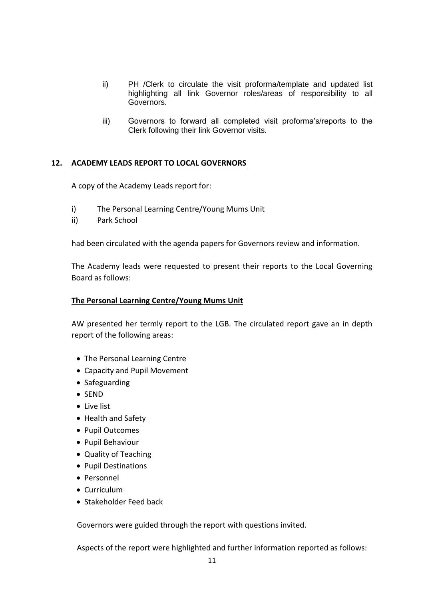- ii) PH /Clerk to circulate the visit proforma/template and updated list highlighting all link Governor roles/areas of responsibility to all Governors.
- iii) Governors to forward all completed visit proforma's/reports to the Clerk following their link Governor visits.

### **12. ACADEMY LEADS REPORT TO LOCAL GOVERNORS**

A copy of the Academy Leads report for:

- i) The Personal Learning Centre/Young Mums Unit
- ii) Park School

had been circulated with the agenda papers for Governors review and information.

The Academy leads were requested to present their reports to the Local Governing Board as follows:

### **The Personal Learning Centre/Young Mums Unit**

AW presented her termly report to the LGB. The circulated report gave an in depth report of the following areas:

- The Personal Learning Centre
- Capacity and Pupil Movement
- Safeguarding
- SEND
- Live list
- Health and Safety
- Pupil Outcomes
- Pupil Behaviour
- Quality of Teaching
- Pupil Destinations
- Personnel
- Curriculum
- Stakeholder Feed back

Governors were guided through the report with questions invited.

Aspects of the report were highlighted and further information reported as follows: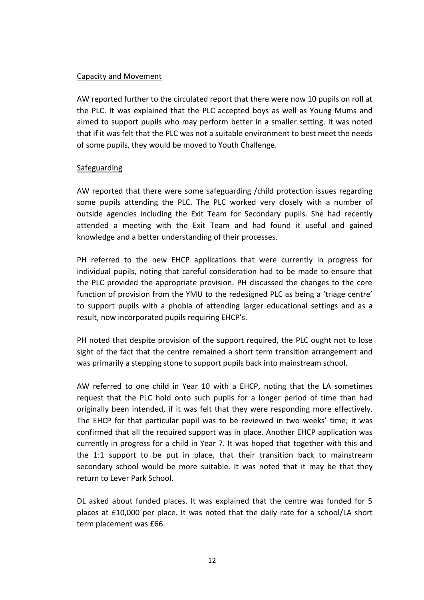### Capacity and Movement

AW reported further to the circulated report that there were now 10 pupils on roll at the PLC. It was explained that the PLC accepted boys as well as Young Mums and aimed to support pupils who may perform better in a smaller setting. It was noted that if it was felt that the PLC was not a suitable environment to best meet the needs of some pupils, they would be moved to Youth Challenge.

### **Safeguarding**

AW reported that there were some safeguarding /child protection issues regarding some pupils attending the PLC. The PLC worked very closely with a number of outside agencies including the Exit Team for Secondary pupils. She had recently attended a meeting with the Exit Team and had found it useful and gained knowledge and a better understanding of their processes.

PH referred to the new EHCP applications that were currently in progress for individual pupils, noting that careful consideration had to be made to ensure that the PLC provided the appropriate provision. PH discussed the changes to the core function of provision from the YMU to the redesigned PLC as being a 'triage centre' to support pupils with a phobia of attending larger educational settings and as a result, now incorporated pupils requiring EHCP's.

PH noted that despite provision of the support required, the PLC ought not to lose sight of the fact that the centre remained a short term transition arrangement and was primarily a stepping stone to support pupils back into mainstream school.

AW referred to one child in Year 10 with a EHCP, noting that the LA sometimes request that the PLC hold onto such pupils for a longer period of time than had originally been intended, if it was felt that they were responding more effectively. The EHCP for that particular pupil was to be reviewed in two weeks' time; it was confirmed that all the required support was in place. Another EHCP application was currently in progress for a child in Year 7. It was hoped that together with this and the 1:1 support to be put in place, that their transition back to mainstream secondary school would be more suitable. It was noted that it may be that they return to Lever Park School.

DL asked about funded places. It was explained that the centre was funded for 5 places at £10,000 per place. It was noted that the daily rate for a school/LA short term placement was £66.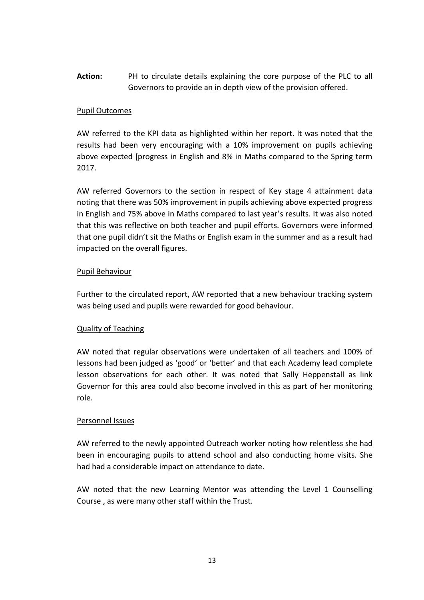**Action:** PH to circulate details explaining the core purpose of the PLC to all Governors to provide an in depth view of the provision offered.

### Pupil Outcomes

AW referred to the KPI data as highlighted within her report. It was noted that the results had been very encouraging with a 10% improvement on pupils achieving above expected [progress in English and 8% in Maths compared to the Spring term 2017.

AW referred Governors to the section in respect of Key stage 4 attainment data noting that there was 50% improvement in pupils achieving above expected progress in English and 75% above in Maths compared to last year's results. It was also noted that this was reflective on both teacher and pupil efforts. Governors were informed that one pupil didn't sit the Maths or English exam in the summer and as a result had impacted on the overall figures.

### Pupil Behaviour

Further to the circulated report, AW reported that a new behaviour tracking system was being used and pupils were rewarded for good behaviour.

## Quality of Teaching

AW noted that regular observations were undertaken of all teachers and 100% of lessons had been judged as 'good' or 'better' and that each Academy lead complete lesson observations for each other. It was noted that Sally Heppenstall as link Governor for this area could also become involved in this as part of her monitoring role.

### Personnel Issues

AW referred to the newly appointed Outreach worker noting how relentless she had been in encouraging pupils to attend school and also conducting home visits. She had had a considerable impact on attendance to date.

AW noted that the new Learning Mentor was attending the Level 1 Counselling Course , as were many other staff within the Trust.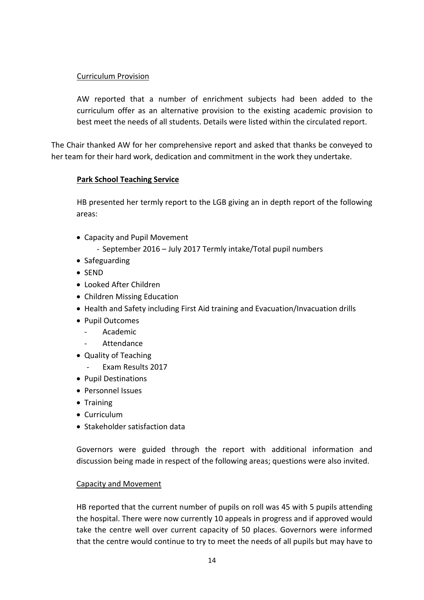## Curriculum Provision

AW reported that a number of enrichment subjects had been added to the curriculum offer as an alternative provision to the existing academic provision to best meet the needs of all students. Details were listed within the circulated report.

The Chair thanked AW for her comprehensive report and asked that thanks be conveyed to her team for their hard work, dedication and commitment in the work they undertake.

### **Park School Teaching Service**

HB presented her termly report to the LGB giving an in depth report of the following areas:

Capacity and Pupil Movement

- September 2016 – July 2017 Termly intake/Total pupil numbers

- Safeguarding
- $\bullet$  SEND
- Looked After Children
- Children Missing Education
- Health and Safety including First Aid training and Evacuation/Invacuation drills
- Pupil Outcomes
	- Academic
	- **Attendance**
- Quality of Teaching
	- Exam Results 2017
- Pupil Destinations
- Personnel Issues
- Training
- Curriculum
- **Stakeholder satisfaction data**

Governors were guided through the report with additional information and discussion being made in respect of the following areas; questions were also invited.

### Capacity and Movement

HB reported that the current number of pupils on roll was 45 with 5 pupils attending the hospital. There were now currently 10 appeals in progress and if approved would take the centre well over current capacity of 50 places. Governors were informed that the centre would continue to try to meet the needs of all pupils but may have to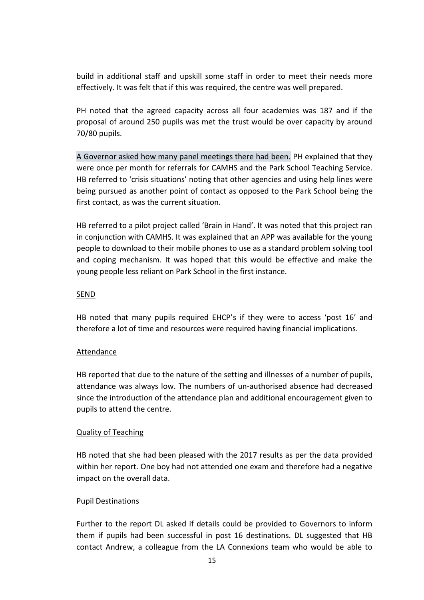build in additional staff and upskill some staff in order to meet their needs more effectively. It was felt that if this was required, the centre was well prepared.

PH noted that the agreed capacity across all four academies was 187 and if the proposal of around 250 pupils was met the trust would be over capacity by around 70/80 pupils.

A Governor asked how many panel meetings there had been. PH explained that they were once per month for referrals for CAMHS and the Park School Teaching Service. HB referred to 'crisis situations' noting that other agencies and using help lines were being pursued as another point of contact as opposed to the Park School being the first contact, as was the current situation.

HB referred to a pilot project called 'Brain in Hand'. It was noted that this project ran in conjunction with CAMHS. It was explained that an APP was available for the young people to download to their mobile phones to use as a standard problem solving tool and coping mechanism. It was hoped that this would be effective and make the young people less reliant on Park School in the first instance.

### SEND

HB noted that many pupils required EHCP's if they were to access 'post 16' and therefore a lot of time and resources were required having financial implications.

## **Attendance**

HB reported that due to the nature of the setting and illnesses of a number of pupils, attendance was always low. The numbers of un-authorised absence had decreased since the introduction of the attendance plan and additional encouragement given to pupils to attend the centre.

## Quality of Teaching

HB noted that she had been pleased with the 2017 results as per the data provided within her report. One boy had not attended one exam and therefore had a negative impact on the overall data.

### Pupil Destinations

Further to the report DL asked if details could be provided to Governors to inform them if pupils had been successful in post 16 destinations. DL suggested that HB contact Andrew, a colleague from the LA Connexions team who would be able to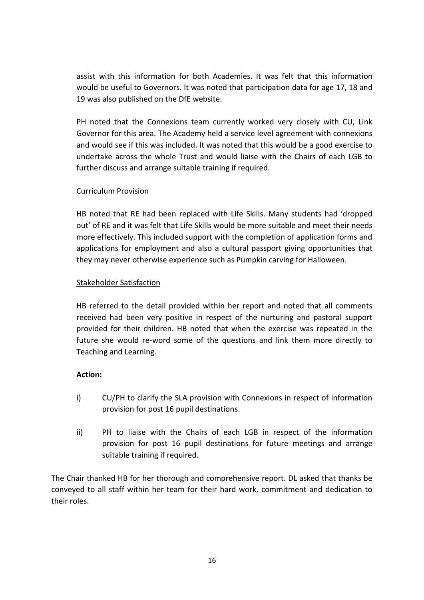assist with this information for both Academies. It was felt that this information would be useful to Governors. It was noted that participation data for age 17, 18 and 19 was also published on the DfE website.

PH noted that the Connexions team currently worked very closely with CU, Link Governor for this area. The Academy held a service level agreement with connexions and would see if this was included. It was noted that this would be a good exercise to undertake across the whole Trust and would liaise with the Chairs of each LGB to further discuss and arrange suitable training if required.

### Curriculum Provision

HB noted that RE had been replaced with Life Skills. Many students had 'dropped out' of RE and it was felt that Life Skills would be more suitable and meet their needs more effectively. This included support with the completion of application forms and applications for employment and also a cultural passport giving opportunities that they may never otherwise experience such as Pumpkin carving for Halloween.

### Stakeholder Satisfaction

HB referred to the detail provided within her report and noted that all comments received had been very positive in respect of the nurturing and pastoral support provided for their children. HB noted that when the exercise was repeated in the future she would re-word some of the questions and link them more directly to Teaching and Learning.

## **Action:**

- i) CU/PH to clarify the SLA provision with Connexions in respect of information provision for post 16 pupil destinations.
- ii) PH to liaise with the Chairs of each LGB in respect of the information provision for post 16 pupil destinations for future meetings and arrange suitable training if required.

The Chair thanked HB for her thorough and comprehensive report. DL asked that thanks be conveyed to all staff within her team for their hard work, commitment and dedication to their roles.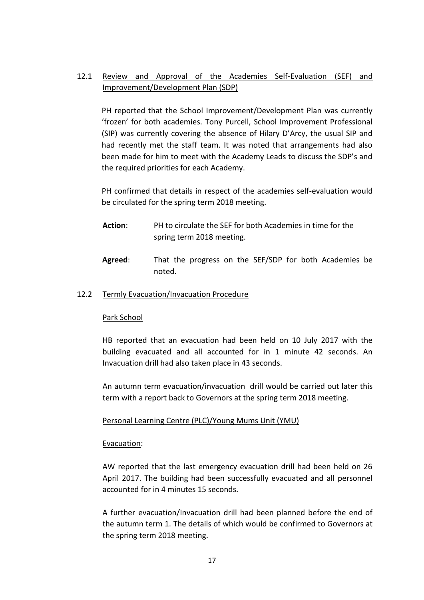# 12.1 Review and Approval of the Academies Self-Evaluation (SEF) and Improvement/Development Plan (SDP)

PH reported that the School Improvement/Development Plan was currently 'frozen' for both academies. Tony Purcell, School Improvement Professional (SIP) was currently covering the absence of Hilary D'Arcy, the usual SIP and had recently met the staff team. It was noted that arrangements had also been made for him to meet with the Academy Leads to discuss the SDP's and the required priorities for each Academy.

PH confirmed that details in respect of the academies self-evaluation would be circulated for the spring term 2018 meeting.

- **Action**: PH to circulate the SEF for both Academies in time for the spring term 2018 meeting.
- **Agreed**: That the progress on the SEF/SDP for both Academies be noted.

### 12.2 Termly Evacuation/Invacuation Procedure

### Park School

HB reported that an evacuation had been held on 10 July 2017 with the building evacuated and all accounted for in 1 minute 42 seconds. An Invacuation drill had also taken place in 43 seconds.

An autumn term evacuation/invacuation drill would be carried out later this term with a report back to Governors at the spring term 2018 meeting.

## Personal Learning Centre (PLC)/Young Mums Unit (YMU)

### Evacuation:

AW reported that the last emergency evacuation drill had been held on 26 April 2017. The building had been successfully evacuated and all personnel accounted for in 4 minutes 15 seconds.

A further evacuation/Invacuation drill had been planned before the end of the autumn term 1. The details of which would be confirmed to Governors at the spring term 2018 meeting.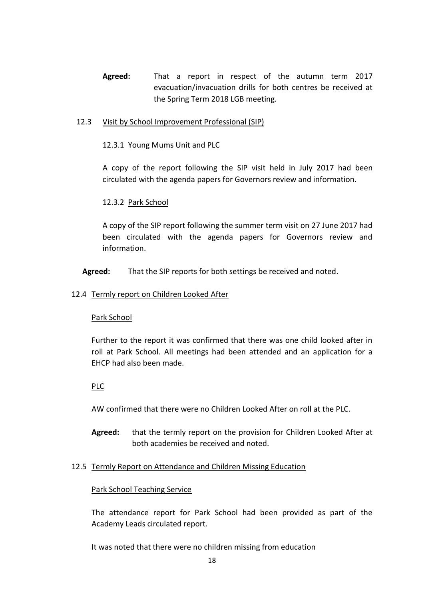**Agreed:** That a report in respect of the autumn term 2017 evacuation/invacuation drills for both centres be received at the Spring Term 2018 LGB meeting.

### 12.3 Visit by School Improvement Professional (SIP)

### 12.3.1 Young Mums Unit and PLC

A copy of the report following the SIP visit held in July 2017 had been circulated with the agenda papers for Governors review and information.

## 12.3.2 Park School

A copy of the SIP report following the summer term visit on 27 June 2017 had been circulated with the agenda papers for Governors review and information.

**Agreed:** That the SIP reports for both settings be received and noted.

### 12.4 Termly report on Children Looked After

### Park School

Further to the report it was confirmed that there was one child looked after in roll at Park School. All meetings had been attended and an application for a EHCP had also been made.

## PLC

AW confirmed that there were no Children Looked After on roll at the PLC.

**Agreed:** that the termly report on the provision for Children Looked After at both academies be received and noted.

### 12.5 Termly Report on Attendance and Children Missing Education

### Park School Teaching Service

The attendance report for Park School had been provided as part of the Academy Leads circulated report.

It was noted that there were no children missing from education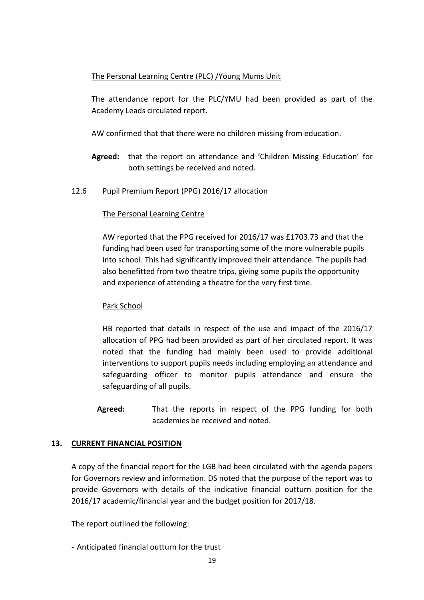## The Personal Learning Centre (PLC) /Young Mums Unit

The attendance report for the PLC/YMU had been provided as part of the Academy Leads circulated report.

AW confirmed that that there were no children missing from education.

**Agreed:** that the report on attendance and 'Children Missing Education' for both settings be received and noted.

### 12.6 Pupil Premium Report (PPG) 2016/17 allocation

### The Personal Learning Centre

AW reported that the PPG received for 2016/17 was £1703.73 and that the funding had been used for transporting some of the more vulnerable pupils into school. This had significantly improved their attendance. The pupils had also benefitted from two theatre trips, giving some pupils the opportunity and experience of attending a theatre for the very first time.

### Park School

HB reported that details in respect of the use and impact of the 2016/17 allocation of PPG had been provided as part of her circulated report. It was noted that the funding had mainly been used to provide additional interventions to support pupils needs including employing an attendance and safeguarding officer to monitor pupils attendance and ensure the safeguarding of all pupils.

**Agreed:** That the reports in respect of the PPG funding for both academies be received and noted.

## **13. CURRENT FINANCIAL POSITION**

A copy of the financial report for the LGB had been circulated with the agenda papers for Governors review and information. DS noted that the purpose of the report was to provide Governors with details of the indicative financial outturn position for the 2016/17 academic/financial year and the budget position for 2017/18.

The report outlined the following:

- Anticipated financial outturn for the trust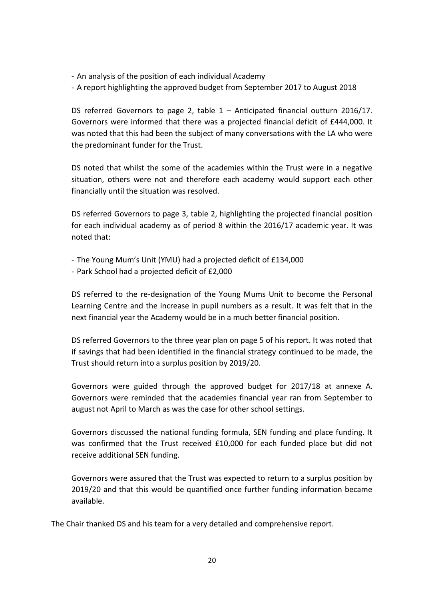- An analysis of the position of each individual Academy
- A report highlighting the approved budget from September 2017 to August 2018

DS referred Governors to page 2, table  $1 -$  Anticipated financial outturn 2016/17. Governors were informed that there was a projected financial deficit of £444,000. It was noted that this had been the subject of many conversations with the LA who were the predominant funder for the Trust.

DS noted that whilst the some of the academies within the Trust were in a negative situation, others were not and therefore each academy would support each other financially until the situation was resolved.

DS referred Governors to page 3, table 2, highlighting the projected financial position for each individual academy as of period 8 within the 2016/17 academic year. It was noted that:

- The Young Mum's Unit (YMU) had a projected deficit of £134,000
- Park School had a projected deficit of £2,000

DS referred to the re-designation of the Young Mums Unit to become the Personal Learning Centre and the increase in pupil numbers as a result. It was felt that in the next financial year the Academy would be in a much better financial position.

DS referred Governors to the three year plan on page 5 of his report. It was noted that if savings that had been identified in the financial strategy continued to be made, the Trust should return into a surplus position by 2019/20.

Governors were guided through the approved budget for 2017/18 at annexe A. Governors were reminded that the academies financial year ran from September to august not April to March as was the case for other school settings.

Governors discussed the national funding formula, SEN funding and place funding. It was confirmed that the Trust received £10,000 for each funded place but did not receive additional SEN funding.

Governors were assured that the Trust was expected to return to a surplus position by 2019/20 and that this would be quantified once further funding information became available.

The Chair thanked DS and his team for a very detailed and comprehensive report.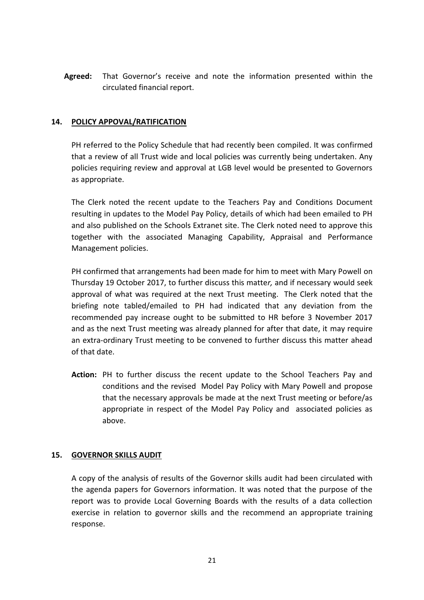**Agreed:** That Governor's receive and note the information presented within the circulated financial report.

## **14. POLICY APPOVAL/RATIFICATION**

PH referred to the Policy Schedule that had recently been compiled. It was confirmed that a review of all Trust wide and local policies was currently being undertaken. Any policies requiring review and approval at LGB level would be presented to Governors as appropriate.

The Clerk noted the recent update to the Teachers Pay and Conditions Document resulting in updates to the Model Pay Policy, details of which had been emailed to PH and also published on the Schools Extranet site. The Clerk noted need to approve this together with the associated Managing Capability, Appraisal and Performance Management policies.

PH confirmed that arrangements had been made for him to meet with Mary Powell on Thursday 19 October 2017, to further discuss this matte*r,* and if necessary would seek approval of what was required at the next Trust meeting. The Clerk noted that the briefing note tabled/emailed to PH had indicated that any deviation from the recommended pay increase ought to be submitted to HR before 3 November 2017 and as the next Trust meeting was already planned for after that date, it may require an extra-ordinary Trust meeting to be convened to further discuss this matter ahead of that date.

**Action:** PH to further discuss the recent update to the School Teachers Pay and conditions and the revised Model Pay Policy with Mary Powell and propose that the necessary approvals be made at the next Trust meeting or before/as appropriate in respect of the Model Pay Policy and associated policies as above.

### **15. GOVERNOR SKILLS AUDIT**

A copy of the analysis of results of the Governor skills audit had been circulated with the agenda papers for Governors information. It was noted that the purpose of the report was to provide Local Governing Boards with the results of a data collection exercise in relation to governor skills and the recommend an appropriate training response.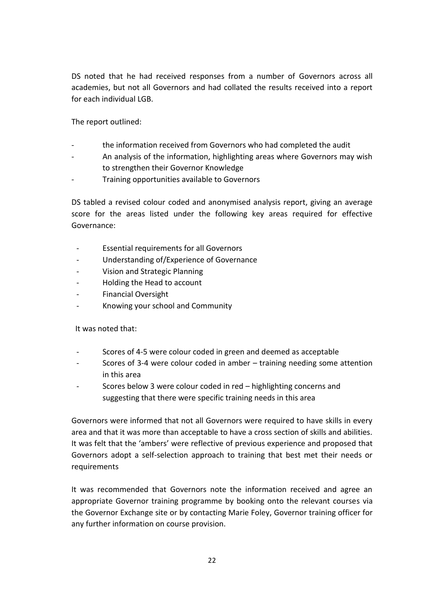DS noted that he had received responses from a number of Governors across all academies, but not all Governors and had collated the results received into a report for each individual LGB.

The report outlined:

- the information received from Governors who had completed the audit
- An analysis of the information, highlighting areas where Governors may wish to strengthen their Governor Knowledge
- Training opportunities available to Governors

DS tabled a revised colour coded and anonymised analysis report, giving an average score for the areas listed under the following key areas required for effective Governance:

- Essential requirements for all Governors
- Understanding of/Experience of Governance
- Vision and Strategic Planning
- Holding the Head to account
- Financial Oversight
- Knowing your school and Community

It was noted that:

- Scores of 4-5 were colour coded in green and deemed as acceptable
- Scores of 3-4 were colour coded in amber training needing some attention in this area
- Scores below 3 were colour coded in red highlighting concerns and suggesting that there were specific training needs in this area

Governors were informed that not all Governors were required to have skills in every area and that it was more than acceptable to have a cross section of skills and abilities. It was felt that the 'ambers' were reflective of previous experience and proposed that Governors adopt a self-selection approach to training that best met their needs or requirements

It was recommended that Governors note the information received and agree an appropriate Governor training programme by booking onto the relevant courses via the Governor Exchange site or by contacting Marie Foley, Governor training officer for any further information on course provision.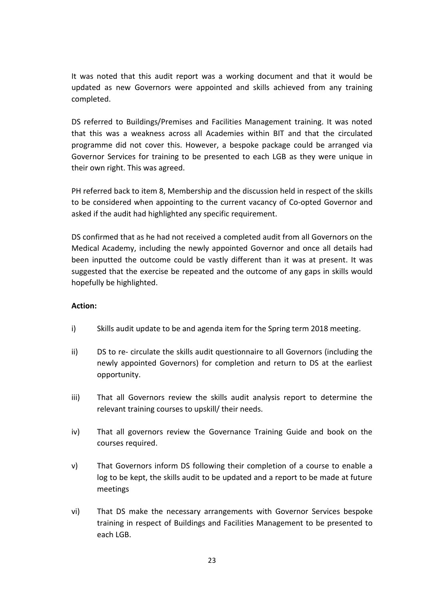It was noted that this audit report was a working document and that it would be updated as new Governors were appointed and skills achieved from any training completed.

DS referred to Buildings/Premises and Facilities Management training. It was noted that this was a weakness across all Academies within BIT and that the circulated programme did not cover this. However, a bespoke package could be arranged via Governor Services for training to be presented to each LGB as they were unique in their own right. This was agreed.

PH referred back to item 8, Membership and the discussion held in respect of the skills to be considered when appointing to the current vacancy of Co-opted Governor and asked if the audit had highlighted any specific requirement.

DS confirmed that as he had not received a completed audit from all Governors on the Medical Academy, including the newly appointed Governor and once all details had been inputted the outcome could be vastly different than it was at present. It was suggested that the exercise be repeated and the outcome of any gaps in skills would hopefully be highlighted.

## **Action:**

- i) Skills audit update to be and agenda item for the Spring term 2018 meeting.
- ii) DS to re- circulate the skills audit questionnaire to all Governors (including the newly appointed Governors) for completion and return to DS at the earliest opportunity.
- iii) That all Governors review the skills audit analysis report to determine the relevant training courses to upskill/ their needs.
- iv) That all governors review the Governance Training Guide and book on the courses required.
- v) That Governors inform DS following their completion of a course to enable a log to be kept, the skills audit to be updated and a report to be made at future meetings
- vi) That DS make the necessary arrangements with Governor Services bespoke training in respect of Buildings and Facilities Management to be presented to each LGB.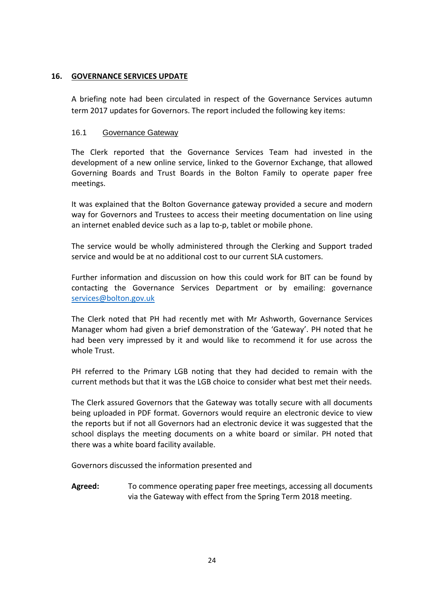## **16. GOVERNANCE SERVICES UPDATE**

A briefing note had been circulated in respect of the Governance Services autumn term 2017 updates for Governors. The report included the following key items:

## 16.1 Governance Gateway

The Clerk reported that the Governance Services Team had invested in the development of a new online service, linked to the Governor Exchange, that allowed Governing Boards and Trust Boards in the Bolton Family to operate paper free meetings.

It was explained that the Bolton Governance gateway provided a secure and modern way for Governors and Trustees to access their meeting documentation on line using an internet enabled device such as a lap to-p, tablet or mobile phone.

The service would be wholly administered through the Clerking and Support traded service and would be at no additional cost to our current SLA customers.

Further information and discussion on how this could work for BIT can be found by contacting the Governance Services Department or by emailing: governance [services@bolton.gov.uk](mailto:services@bolton.gov.uk)

The Clerk noted that PH had recently met with Mr Ashworth, Governance Services Manager whom had given a brief demonstration of the 'Gateway'. PH noted that he had been very impressed by it and would like to recommend it for use across the whole Trust.

PH referred to the Primary LGB noting that they had decided to remain with the current methods but that it was the LGB choice to consider what best met their needs.

The Clerk assured Governors that the Gateway was totally secure with all documents being uploaded in PDF format. Governors would require an electronic device to view the reports but if not all Governors had an electronic device it was suggested that the school displays the meeting documents on a white board or similar. PH noted that there was a white board facility available.

Governors discussed the information presented and

**Agreed:** To commence operating paper free meetings, accessing all documents via the Gateway with effect from the Spring Term 2018 meeting.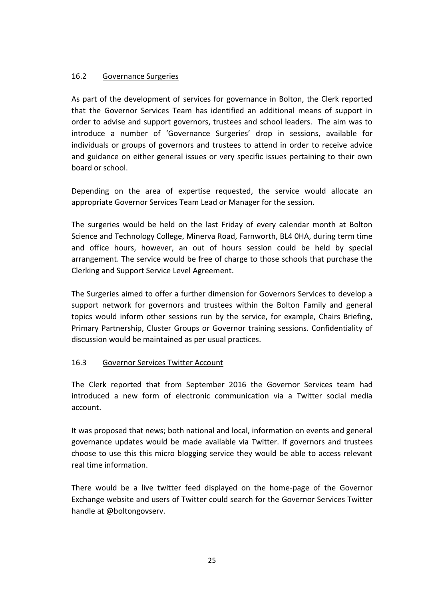## 16.2 Governance Surgeries

As part of the development of services for governance in Bolton, the Clerk reported that the Governor Services Team has identified an additional means of support in order to advise and support governors, trustees and school leaders. The aim was to introduce a number of 'Governance Surgeries' drop in sessions, available for individuals or groups of governors and trustees to attend in order to receive advice and guidance on either general issues or very specific issues pertaining to their own board or school.

Depending on the area of expertise requested, the service would allocate an appropriate Governor Services Team Lead or Manager for the session.

The surgeries would be held on the last Friday of every calendar month at Bolton Science and Technology College, Minerva Road, Farnworth, BL4 0HA, during term time and office hours, however, an out of hours session could be held by special arrangement. The service would be free of charge to those schools that purchase the Clerking and Support Service Level Agreement.

The Surgeries aimed to offer a further dimension for Governors Services to develop a support network for governors and trustees within the Bolton Family and general topics would inform other sessions run by the service, for example, Chairs Briefing, Primary Partnership, Cluster Groups or Governor training sessions. Confidentiality of discussion would be maintained as per usual practices.

## 16.3 Governor Services Twitter Account

The Clerk reported that from September 2016 the Governor Services team had introduced a new form of electronic communication via a Twitter social media account.

It was proposed that news; both national and local, information on events and general governance updates would be made available via Twitter. If governors and trustees choose to use this this micro blogging service they would be able to access relevant real time information.

There would be a live twitter feed displayed on the home-page of the Governor Exchange website and users of Twitter could search for the Governor Services Twitter handle at @boltongovserv.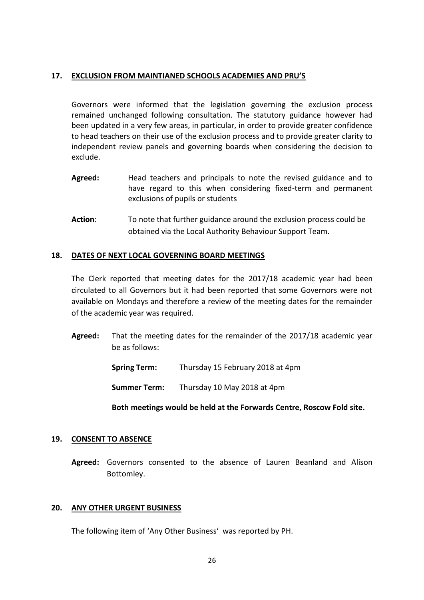### **17. EXCLUSION FROM MAINTIANED SCHOOLS ACADEMIES AND PRU'S**

Governors were informed that the legislation governing the exclusion process remained unchanged following consultation. The statutory guidance however had been updated in a very few areas, in particular, in order to provide greater confidence to head teachers on their use of the exclusion process and to provide greater clarity to independent review panels and governing boards when considering the decision to exclude.

- **Agreed:** Head teachers and principals to note the revised guidance and to have regard to this when considering fixed-term and permanent exclusions of pupils or students
- **Action**: To note that further guidance around the exclusion process could be obtained via the Local Authority Behaviour Support Team.

### **18. DATES OF NEXT LOCAL GOVERNING BOARD MEETINGS**

The Clerk reported that meeting dates for the 2017/18 academic year had been circulated to all Governors but it had been reported that some Governors were not available on Mondays and therefore a review of the meeting dates for the remainder of the academic year was required.

- **Agreed:** That the meeting dates for the remainder of the 2017/18 academic year be as follows:
	- **Spring Term:** Thursday 15 February 2018 at 4pm

**Summer Term:** Thursday 10 May 2018 at 4pm

**Both meetings would be held at the Forwards Centre, Roscow Fold site.**

### **19. CONSENT TO ABSENCE**

**Agreed:** Governors consented to the absence of Lauren Beanland and Alison Bottomley.

#### **20. ANY OTHER URGENT BUSINESS**

The following item of 'Any Other Business' was reported by PH.